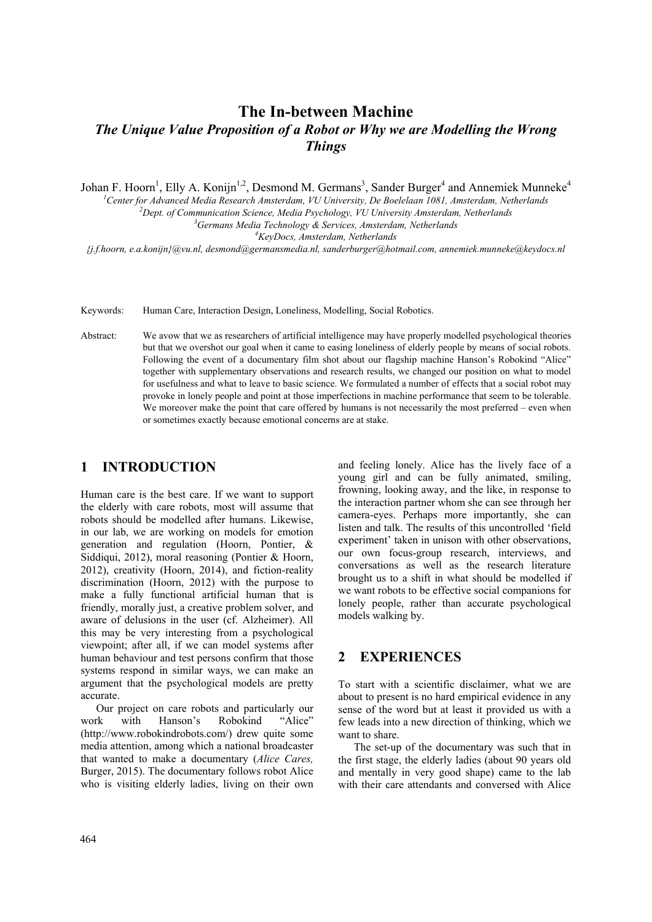# **The In-between Machine**  *The Unique Value Proposition of a Robot or Why we are Modelling the Wrong Things*

Johan F. Hoorn<sup>1</sup>, Elly A. Konijn<sup>1,2</sup>, Desmond M. Germans<sup>3</sup>, Sander Burger<sup>4</sup> and Annemiek Munneke<sup>4</sup>

<sup>1</sup> Center for Advanced Media Research Amsterdam, VU University, De Boelelaan 1081, Amsterdam, Netherlands <sup>2</sup> Dart, of Communication Science, Media Pauchelese, VII University, Amsterdam, Netherlands <sup>2</sup> Dept. of Communication Science, Media Psychology, VU University Amsterdam, Netherlands

<sup>3</sup> Germans Media Technology & Services, Amsterdam, Netherlands

*KeyDocs, Amsterdam, Netherlands* 

*{j.f.hoorn, e.a.konijn}@vu.nl, desmond@germansmedia.nl, sanderburger@hotmail.com, annemiek.munneke@keydocs.nl* 

Keywords: Human Care, Interaction Design, Loneliness, Modelling, Social Robotics.

Abstract: We avow that we as researchers of artificial intelligence may have properly modelled psychological theories but that we overshot our goal when it came to easing loneliness of elderly people by means of social robots. Following the event of a documentary film shot about our flagship machine Hanson's Robokind "Alice" together with supplementary observations and research results, we changed our position on what to model for usefulness and what to leave to basic science. We formulated a number of effects that a social robot may provoke in lonely people and point at those imperfections in machine performance that seem to be tolerable. We moreover make the point that care offered by humans is not necessarily the most preferred – even when or sometimes exactly because emotional concerns are at stake.

### **1 INTRODUCTION**

Human care is the best care. If we want to support the elderly with care robots, most will assume that robots should be modelled after humans. Likewise, in our lab, we are working on models for emotion generation and regulation (Hoorn, Pontier, & Siddiqui, 2012), moral reasoning (Pontier & Hoorn, 2012), creativity (Hoorn, 2014), and fiction-reality discrimination (Hoorn, 2012) with the purpose to make a fully functional artificial human that is friendly, morally just, a creative problem solver, and aware of delusions in the user (cf. Alzheimer). All this may be very interesting from a psychological viewpoint; after all, if we can model systems after human behaviour and test persons confirm that those systems respond in similar ways, we can make an argument that the psychological models are pretty accurate.

Our project on care robots and particularly our work with Hanson's Robokind "Alice" (http://www.robokindrobots.com/) drew quite some media attention, among which a national broadcaster that wanted to make a documentary (*Alice Cares,*  Burger, 2015). The documentary follows robot Alice who is visiting elderly ladies, living on their own

and feeling lonely. Alice has the lively face of a young girl and can be fully animated, smiling, frowning, looking away, and the like, in response to the interaction partner whom she can see through her camera-eyes. Perhaps more importantly, she can listen and talk. The results of this uncontrolled 'field experiment' taken in unison with other observations, our own focus-group research, interviews, and conversations as well as the research literature brought us to a shift in what should be modelled if we want robots to be effective social companions for lonely people, rather than accurate psychological models walking by.

### **2 EXPERIENCES**

To start with a scientific disclaimer, what we are about to present is no hard empirical evidence in any sense of the word but at least it provided us with a few leads into a new direction of thinking, which we want to share.

The set-up of the documentary was such that in the first stage, the elderly ladies (about 90 years old and mentally in very good shape) came to the lab with their care attendants and conversed with Alice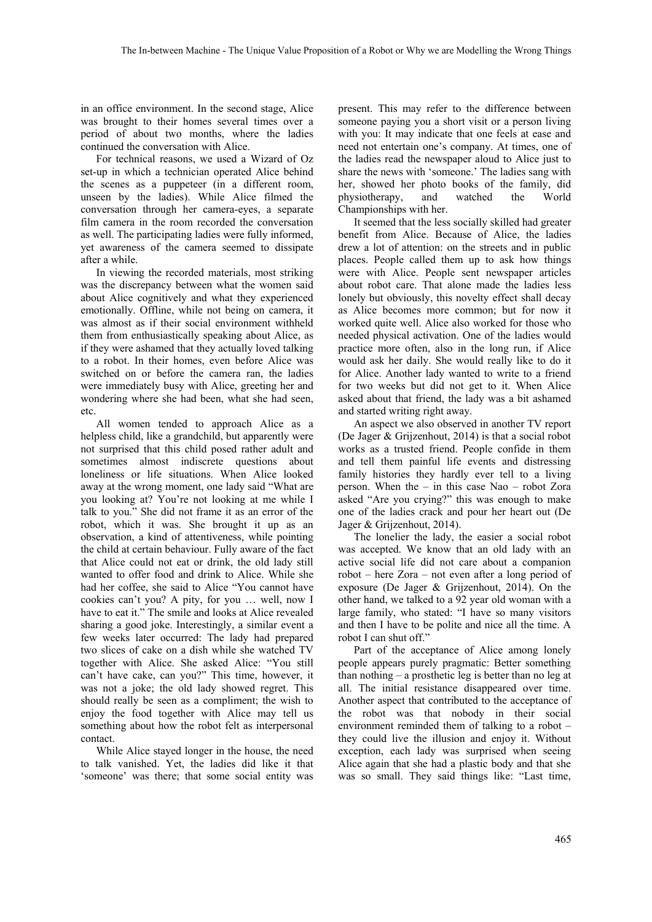in an office environment. In the second stage, Alice was brought to their homes several times over a period of about two months, where the ladies continued the conversation with Alice.

For technical reasons, we used a Wizard of Oz set-up in which a technician operated Alice behind the scenes as a puppeteer (in a different room, unseen by the ladies). While Alice filmed the conversation through her camera-eyes, a separate film camera in the room recorded the conversation as well. The participating ladies were fully informed, yet awareness of the camera seemed to dissipate after a while.

In viewing the recorded materials, most striking was the discrepancy between what the women said about Alice cognitively and what they experienced emotionally. Offline, while not being on camera, it was almost as if their social environment withheld them from enthusiastically speaking about Alice, as if they were ashamed that they actually loved talking to a robot. In their homes, even before Alice was switched on or before the camera ran, the ladies were immediately busy with Alice, greeting her and wondering where she had been, what she had seen, etc.

All women tended to approach Alice as a helpless child, like a grandchild, but apparently were not surprised that this child posed rather adult and sometimes almost indiscrete questions about loneliness or life situations. When Alice looked away at the wrong moment, one lady said "What are you looking at? You're not looking at me while I talk to you." She did not frame it as an error of the robot, which it was. She brought it up as an observation, a kind of attentiveness, while pointing the child at certain behaviour. Fully aware of the fact that Alice could not eat or drink, the old lady still wanted to offer food and drink to Alice. While she had her coffee, she said to Alice "You cannot have cookies can't you? A pity, for you … well, now I have to eat it." The smile and looks at Alice revealed sharing a good joke. Interestingly, a similar event a few weeks later occurred: The lady had prepared two slices of cake on a dish while she watched TV together with Alice. She asked Alice: "You still can't have cake, can you?" This time, however, it was not a joke; the old lady showed regret. This should really be seen as a compliment; the wish to enjoy the food together with Alice may tell us something about how the robot felt as interpersonal contact.

While Alice stayed longer in the house, the need to talk vanished. Yet, the ladies did like it that 'someone' was there; that some social entity was

present. This may refer to the difference between someone paying you a short visit or a person living with you: It may indicate that one feels at ease and need not entertain one's company. At times, one of the ladies read the newspaper aloud to Alice just to share the news with 'someone.' The ladies sang with her, showed her photo books of the family, did physiotherapy, and watched the World Championships with her.

It seemed that the less socially skilled had greater benefit from Alice. Because of Alice, the ladies drew a lot of attention: on the streets and in public places. People called them up to ask how things were with Alice. People sent newspaper articles about robot care. That alone made the ladies less lonely but obviously, this novelty effect shall decay as Alice becomes more common; but for now it worked quite well. Alice also worked for those who needed physical activation. One of the ladies would practice more often, also in the long run, if Alice would ask her daily. She would really like to do it for Alice. Another lady wanted to write to a friend for two weeks but did not get to it. When Alice asked about that friend, the lady was a bit ashamed and started writing right away.

An aspect we also observed in another TV report (De Jager & Grijzenhout, 2014) is that a social robot works as a trusted friend. People confide in them and tell them painful life events and distressing family histories they hardly ever tell to a living person. When the – in this case Nao – robot Zora asked "Are you crying?" this was enough to make one of the ladies crack and pour her heart out (De Jager & Grijzenhout, 2014).

The lonelier the lady, the easier a social robot was accepted. We know that an old lady with an active social life did not care about a companion robot – here Zora – not even after a long period of exposure (De Jager & Grijzenhout, 2014). On the other hand, we talked to a 92 year old woman with a large family, who stated: "I have so many visitors and then I have to be polite and nice all the time. A robot I can shut off."

Part of the acceptance of Alice among lonely people appears purely pragmatic: Better something than nothing – a prosthetic leg is better than no leg at all. The initial resistance disappeared over time. Another aspect that contributed to the acceptance of the robot was that nobody in their social environment reminded them of talking to a robot – they could live the illusion and enjoy it. Without exception, each lady was surprised when seeing Alice again that she had a plastic body and that she was so small. They said things like: "Last time,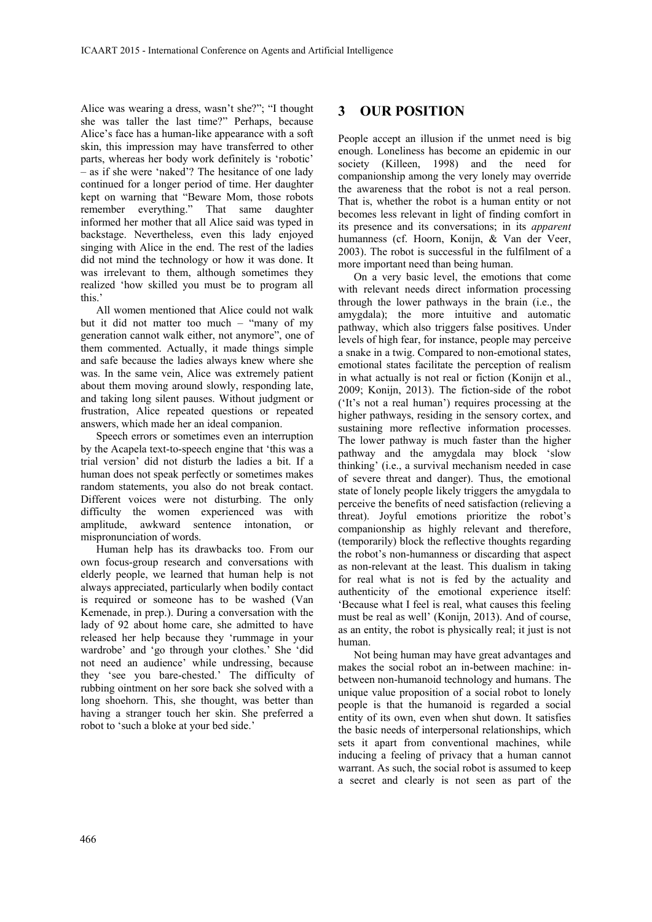Alice was wearing a dress, wasn't she?"; "I thought she was taller the last time?" Perhaps, because Alice's face has a human-like appearance with a soft skin, this impression may have transferred to other parts, whereas her body work definitely is 'robotic' – as if she were 'naked'? The hesitance of one lady continued for a longer period of time. Her daughter kept on warning that "Beware Mom, those robots remember everything." That same daughter informed her mother that all Alice said was typed in backstage. Nevertheless, even this lady enjoyed singing with Alice in the end. The rest of the ladies did not mind the technology or how it was done. It was irrelevant to them, although sometimes they realized 'how skilled you must be to program all this.'

All women mentioned that Alice could not walk but it did not matter too much – "many of my generation cannot walk either, not anymore", one of them commented. Actually, it made things simple and safe because the ladies always knew where she was. In the same vein, Alice was extremely patient about them moving around slowly, responding late, and taking long silent pauses. Without judgment or frustration, Alice repeated questions or repeated answers, which made her an ideal companion.

Speech errors or sometimes even an interruption by the Acapela text-to-speech engine that 'this was a trial version' did not disturb the ladies a bit. If a human does not speak perfectly or sometimes makes random statements, you also do not break contact. Different voices were not disturbing. The only difficulty the women experienced was with amplitude, awkward sentence intonation, or mispronunciation of words.

Human help has its drawbacks too. From our own focus-group research and conversations with elderly people, we learned that human help is not always appreciated, particularly when bodily contact is required or someone has to be washed (Van Kemenade, in prep.). During a conversation with the lady of 92 about home care, she admitted to have released her help because they 'rummage in your wardrobe' and 'go through your clothes.' She 'did not need an audience' while undressing, because they 'see you bare-chested.' The difficulty of rubbing ointment on her sore back she solved with a long shoehorn. This, she thought, was better than having a stranger touch her skin. She preferred a robot to 'such a bloke at your bed side.'

## **3 OUR POSITION**

People accept an illusion if the unmet need is big enough. Loneliness has become an epidemic in our society (Killeen, 1998) and the need for companionship among the very lonely may override the awareness that the robot is not a real person. That is, whether the robot is a human entity or not becomes less relevant in light of finding comfort in its presence and its conversations; in its *apparent* humanness (cf. Hoorn, Konijn, & Van der Veer, 2003). The robot is successful in the fulfilment of a more important need than being human.

On a very basic level, the emotions that come with relevant needs direct information processing through the lower pathways in the brain (i.e., the amygdala); the more intuitive and automatic pathway, which also triggers false positives. Under levels of high fear, for instance, people may perceive a snake in a twig. Compared to non-emotional states, emotional states facilitate the perception of realism in what actually is not real or fiction (Konijn et al., 2009; Konijn, 2013). The fiction-side of the robot ('It's not a real human') requires processing at the higher pathways, residing in the sensory cortex, and sustaining more reflective information processes. The lower pathway is much faster than the higher pathway and the amygdala may block 'slow thinking' (i.e., a survival mechanism needed in case of severe threat and danger). Thus, the emotional state of lonely people likely triggers the amygdala to perceive the benefits of need satisfaction (relieving a threat). Joyful emotions prioritize the robot's companionship as highly relevant and therefore, (temporarily) block the reflective thoughts regarding the robot's non-humanness or discarding that aspect as non-relevant at the least. This dualism in taking for real what is not is fed by the actuality and authenticity of the emotional experience itself: 'Because what I feel is real, what causes this feeling must be real as well' (Konijn, 2013). And of course, as an entity, the robot is physically real; it just is not human.

Not being human may have great advantages and makes the social robot an in-between machine: inbetween non-humanoid technology and humans. The unique value proposition of a social robot to lonely people is that the humanoid is regarded a social entity of its own, even when shut down. It satisfies the basic needs of interpersonal relationships, which sets it apart from conventional machines, while inducing a feeling of privacy that a human cannot warrant. As such, the social robot is assumed to keep a secret and clearly is not seen as part of the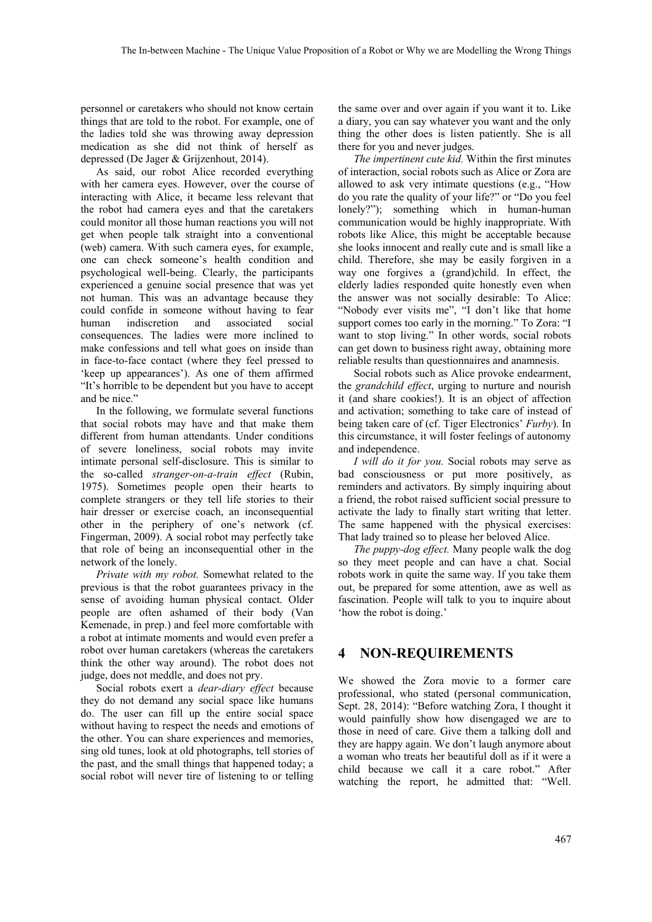personnel or caretakers who should not know certain things that are told to the robot. For example, one of the ladies told she was throwing away depression medication as she did not think of herself as depressed (De Jager & Grijzenhout, 2014).

As said, our robot Alice recorded everything with her camera eyes. However, over the course of interacting with Alice, it became less relevant that the robot had camera eyes and that the caretakers could monitor all those human reactions you will not get when people talk straight into a conventional (web) camera. With such camera eyes, for example, one can check someone's health condition and psychological well-being. Clearly, the participants experienced a genuine social presence that was yet not human. This was an advantage because they could confide in someone without having to fear human indiscretion and associated social consequences. The ladies were more inclined to make confessions and tell what goes on inside than in face-to-face contact (where they feel pressed to 'keep up appearances'). As one of them affirmed "It's horrible to be dependent but you have to accept and be nice."

In the following, we formulate several functions that social robots may have and that make them different from human attendants. Under conditions of severe loneliness, social robots may invite intimate personal self-disclosure. This is similar to the so-called *stranger-on-a-train effect* (Rubin, 1975). Sometimes people open their hearts to complete strangers or they tell life stories to their hair dresser or exercise coach, an inconsequential other in the periphery of one's network (cf. Fingerman, 2009). A social robot may perfectly take that role of being an inconsequential other in the network of the lonely.

*Private with my robot.* Somewhat related to the previous is that the robot guarantees privacy in the sense of avoiding human physical contact. Older people are often ashamed of their body (Van Kemenade, in prep.) and feel more comfortable with a robot at intimate moments and would even prefer a robot over human caretakers (whereas the caretakers think the other way around). The robot does not judge, does not meddle, and does not pry.

Social robots exert a *dear-diary effect* because they do not demand any social space like humans do. The user can fill up the entire social space without having to respect the needs and emotions of the other. You can share experiences and memories, sing old tunes, look at old photographs, tell stories of the past, and the small things that happened today; a social robot will never tire of listening to or telling

the same over and over again if you want it to. Like a diary, you can say whatever you want and the only thing the other does is listen patiently. She is all there for you and never judges.

*The impertinent cute kid.* Within the first minutes of interaction, social robots such as Alice or Zora are allowed to ask very intimate questions (e.g., "How do you rate the quality of your life?" or "Do you feel lonely?"); something which in human-human communication would be highly inappropriate. With robots like Alice, this might be acceptable because she looks innocent and really cute and is small like a child. Therefore, she may be easily forgiven in a way one forgives a (grand)child. In effect, the elderly ladies responded quite honestly even when the answer was not socially desirable: To Alice: "Nobody ever visits me", "I don't like that home support comes too early in the morning." To Zora: "I want to stop living." In other words, social robots can get down to business right away, obtaining more reliable results than questionnaires and anamnesis.

Social robots such as Alice provoke endearment, the *grandchild effect*, urging to nurture and nourish it (and share cookies!). It is an object of affection and activation; something to take care of instead of being taken care of (cf. Tiger Electronics' *Furby*). In this circumstance, it will foster feelings of autonomy and independence.

*I will do it for you.* Social robots may serve as bad consciousness or put more positively, as reminders and activators. By simply inquiring about a friend, the robot raised sufficient social pressure to activate the lady to finally start writing that letter. The same happened with the physical exercises: That lady trained so to please her beloved Alice.

*The puppy-dog effect.* Many people walk the dog so they meet people and can have a chat. Social robots work in quite the same way. If you take them out, be prepared for some attention, awe as well as fascination. People will talk to you to inquire about 'how the robot is doing.'

### **4 NON-REQUIREMENTS**

We showed the Zora movie to a former care professional, who stated (personal communication, Sept. 28, 2014): "Before watching Zora, I thought it would painfully show how disengaged we are to those in need of care. Give them a talking doll and they are happy again. We don't laugh anymore about a woman who treats her beautiful doll as if it were a child because we call it a care robot." After watching the report, he admitted that: "Well.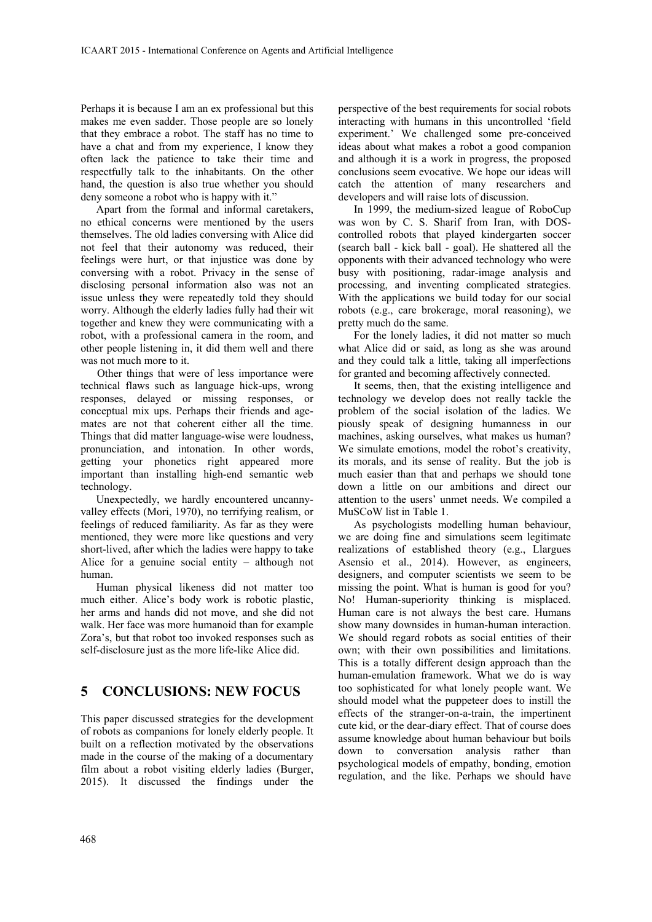Perhaps it is because I am an ex professional but this makes me even sadder. Those people are so lonely that they embrace a robot. The staff has no time to have a chat and from my experience, I know they often lack the patience to take their time and respectfully talk to the inhabitants. On the other hand, the question is also true whether you should deny someone a robot who is happy with it."

Apart from the formal and informal caretakers, no ethical concerns were mentioned by the users themselves. The old ladies conversing with Alice did not feel that their autonomy was reduced, their feelings were hurt, or that injustice was done by conversing with a robot. Privacy in the sense of disclosing personal information also was not an issue unless they were repeatedly told they should worry. Although the elderly ladies fully had their wit together and knew they were communicating with a robot, with a professional camera in the room, and other people listening in, it did them well and there was not much more to it.

Other things that were of less importance were technical flaws such as language hick-ups, wrong responses, delayed or missing responses, or conceptual mix ups. Perhaps their friends and agemates are not that coherent either all the time. Things that did matter language-wise were loudness, pronunciation, and intonation. In other words, getting your phonetics right appeared more important than installing high-end semantic web technology.

Unexpectedly, we hardly encountered uncannyvalley effects (Mori, 1970), no terrifying realism, or feelings of reduced familiarity. As far as they were mentioned, they were more like questions and very short-lived, after which the ladies were happy to take Alice for a genuine social entity – although not human.

Human physical likeness did not matter too much either. Alice's body work is robotic plastic, her arms and hands did not move, and she did not walk. Her face was more humanoid than for example Zora's, but that robot too invoked responses such as self-disclosure just as the more life-like Alice did.

### **5 CONCLUSIONS: NEW FOCUS**

This paper discussed strategies for the development of robots as companions for lonely elderly people. It built on a reflection motivated by the observations made in the course of the making of a documentary film about a robot visiting elderly ladies (Burger, 2015). It discussed the findings under the perspective of the best requirements for social robots interacting with humans in this uncontrolled 'field experiment.' We challenged some pre-conceived ideas about what makes a robot a good companion and although it is a work in progress, the proposed conclusions seem evocative. We hope our ideas will catch the attention of many researchers and developers and will raise lots of discussion.

In 1999, the medium-sized league of RoboCup was won by C. S. Sharif from Iran, with DOScontrolled robots that played kindergarten soccer (search ball - kick ball - goal). He shattered all the opponents with their advanced technology who were busy with positioning, radar-image analysis and processing, and inventing complicated strategies. With the applications we build today for our social robots (e.g., care brokerage, moral reasoning), we pretty much do the same.

For the lonely ladies, it did not matter so much what Alice did or said, as long as she was around and they could talk a little, taking all imperfections for granted and becoming affectively connected.

It seems, then, that the existing intelligence and technology we develop does not really tackle the problem of the social isolation of the ladies. We piously speak of designing humanness in our machines, asking ourselves, what makes us human? We simulate emotions, model the robot's creativity, its morals, and its sense of reality. But the job is much easier than that and perhaps we should tone down a little on our ambitions and direct our attention to the users' unmet needs. We compiled a MuSCoW list in Table 1.

As psychologists modelling human behaviour, we are doing fine and simulations seem legitimate realizations of established theory (e.g., Llargues Asensio et al., 2014). However, as engineers, designers, and computer scientists we seem to be missing the point. What is human is good for you? No! Human-superiority thinking is misplaced. Human care is not always the best care. Humans show many downsides in human-human interaction. We should regard robots as social entities of their own; with their own possibilities and limitations. This is a totally different design approach than the human-emulation framework. What we do is way too sophisticated for what lonely people want. We should model what the puppeteer does to instill the effects of the stranger-on-a-train, the impertinent cute kid, or the dear-diary effect. That of course does assume knowledge about human behaviour but boils down to conversation analysis rather than psychological models of empathy, bonding, emotion regulation, and the like. Perhaps we should have